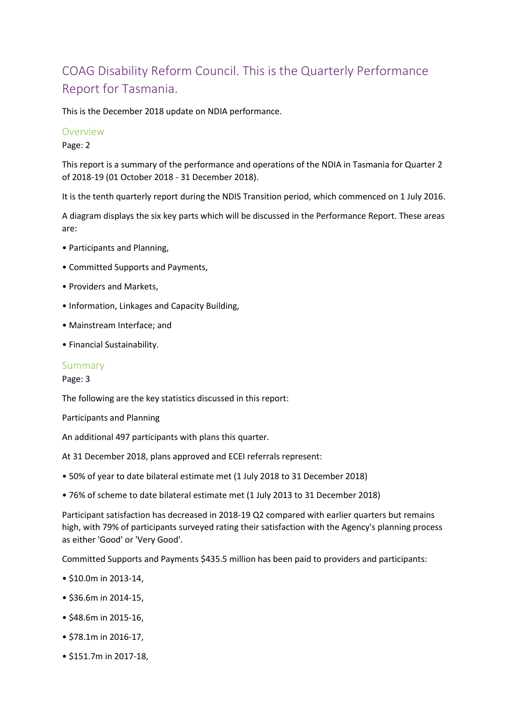# COAG Disability Reform Council. This is the Quarterly Performance Report for Tasmania.

This is the December 2018 update on NDIA performance.

### Overview

Page: 2

This report is a summary of the performance and operations of the NDIA in Tasmania for Quarter 2 of 2018-19 (01 October 2018 - 31 December 2018).

It is the tenth quarterly report during the NDIS Transition period, which commenced on 1 July 2016.

A diagram displays the six key parts which will be discussed in the Performance Report. These areas are:

- Participants and Planning,
- Committed Supports and Payments,
- Providers and Markets,
- Information, Linkages and Capacity Building,
- Mainstream Interface; and
- Financial Sustainability.

#### Summary

Page: 3

The following are the key statistics discussed in this report:

Participants and Planning

An additional 497 participants with plans this quarter.

At 31 December 2018, plans approved and ECEI referrals represent:

- 50% of year to date bilateral estimate met (1 July 2018 to 31 December 2018)
- 76% of scheme to date bilateral estimate met (1 July 2013 to 31 December 2018)

Participant satisfaction has decreased in 2018-19 Q2 compared with earlier quarters but remains high, with 79% of participants surveyed rating their satisfaction with the Agency's planning process as either 'Good' or 'Very Good'.

Committed Supports and Payments \$435.5 million has been paid to providers and participants:

- \$10.0m in 2013-14,
- \$36.6m in 2014-15,
- \$48.6m in 2015-16,
- \$78.1m in 2016-17,
- \$151.7m in 2017-18,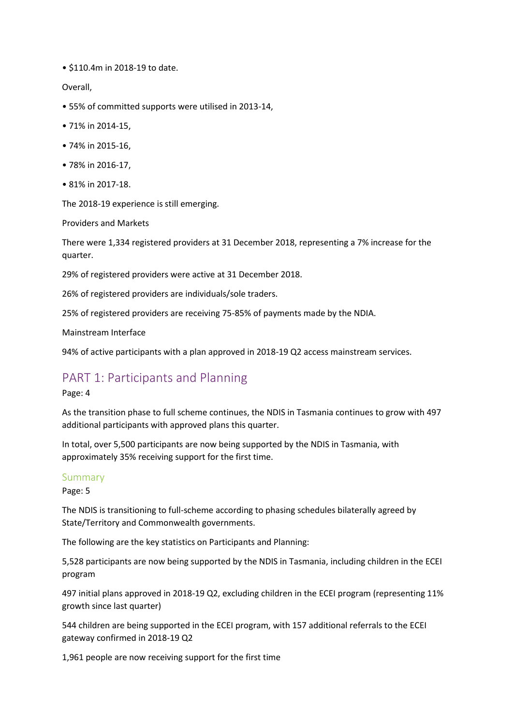• \$110.4m in 2018-19 to date.

Overall,

- 55% of committed supports were utilised in 2013-14,
- 71% in 2014-15,
- 74% in 2015-16,
- 78% in 2016-17,
- 81% in 2017-18.

The 2018-19 experience is still emerging.

Providers and Markets

There were 1,334 registered providers at 31 December 2018, representing a 7% increase for the quarter.

29% of registered providers were active at 31 December 2018.

26% of registered providers are individuals/sole traders.

25% of registered providers are receiving 75-85% of payments made by the NDIA.

Mainstream Interface

94% of active participants with a plan approved in 2018-19 Q2 access mainstream services.

## PART 1: Participants and Planning

#### Page: 4

As the transition phase to full scheme continues, the NDIS in Tasmania continues to grow with 497 additional participants with approved plans this quarter.

In total, over 5,500 participants are now being supported by the NDIS in Tasmania, with approximately 35% receiving support for the first time.

### Summary

Page: 5

The NDIS is transitioning to full-scheme according to phasing schedules bilaterally agreed by State/Territory and Commonwealth governments.

The following are the key statistics on Participants and Planning:

5,528 participants are now being supported by the NDIS in Tasmania, including children in the ECEI program

497 initial plans approved in 2018-19 Q2, excluding children in the ECEI program (representing 11% growth since last quarter)

544 children are being supported in the ECEI program, with 157 additional referrals to the ECEI gateway confirmed in 2018-19 Q2

1,961 people are now receiving support for the first time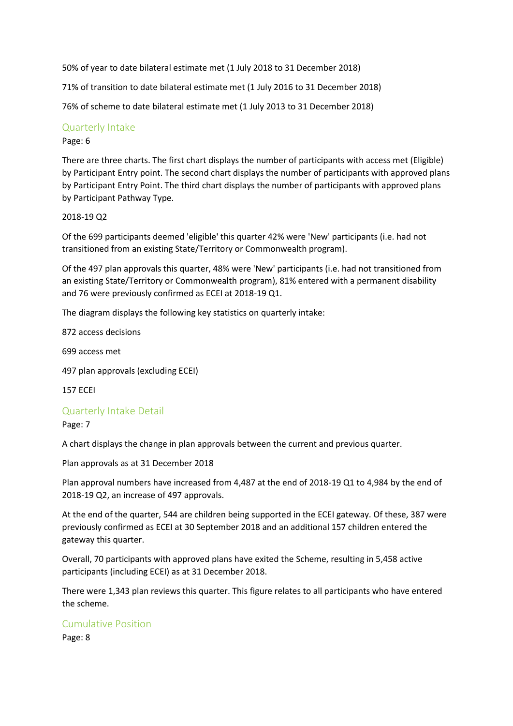50% of year to date bilateral estimate met (1 July 2018 to 31 December 2018)

71% of transition to date bilateral estimate met (1 July 2016 to 31 December 2018)

76% of scheme to date bilateral estimate met (1 July 2013 to 31 December 2018)

### Quarterly Intake

### Page: 6

There are three charts. The first chart displays the number of participants with access met (Eligible) by Participant Entry point. The second chart displays the number of participants with approved plans by Participant Entry Point. The third chart displays the number of participants with approved plans by Participant Pathway Type.

### 2018-19 Q2

Of the 699 participants deemed 'eligible' this quarter 42% were 'New' participants (i.e. had not transitioned from an existing State/Territory or Commonwealth program).

Of the 497 plan approvals this quarter, 48% were 'New' participants (i.e. had not transitioned from an existing State/Territory or Commonwealth program), 81% entered with a permanent disability and 76 were previously confirmed as ECEI at 2018-19 Q1.

The diagram displays the following key statistics on quarterly intake:

872 access decisions

699 access met

497 plan approvals (excluding ECEI)

157 ECEI

### Quarterly Intake Detail

Page: 7

A chart displays the change in plan approvals between the current and previous quarter.

Plan approvals as at 31 December 2018

Plan approval numbers have increased from 4,487 at the end of 2018-19 Q1 to 4,984 by the end of 2018-19 Q2, an increase of 497 approvals.

At the end of the quarter, 544 are children being supported in the ECEI gateway. Of these, 387 were previously confirmed as ECEI at 30 September 2018 and an additional 157 children entered the gateway this quarter.

Overall, 70 participants with approved plans have exited the Scheme, resulting in 5,458 active participants (including ECEI) as at 31 December 2018.

There were 1,343 plan reviews this quarter. This figure relates to all participants who have entered the scheme.

## Cumulative Position

Page: 8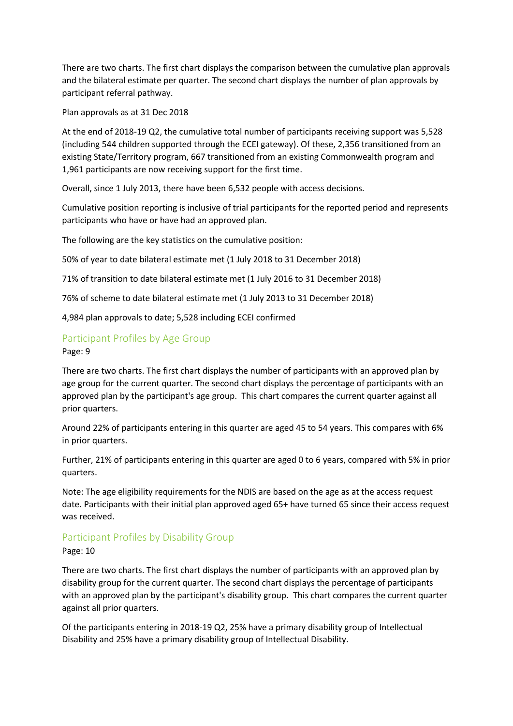There are two charts. The first chart displays the comparison between the cumulative plan approvals and the bilateral estimate per quarter. The second chart displays the number of plan approvals by participant referral pathway.

Plan approvals as at 31 Dec 2018

At the end of 2018-19 Q2, the cumulative total number of participants receiving support was 5,528 (including 544 children supported through the ECEI gateway). Of these, 2,356 transitioned from an existing State/Territory program, 667 transitioned from an existing Commonwealth program and 1,961 participants are now receiving support for the first time.

Overall, since 1 July 2013, there have been 6,532 people with access decisions.

Cumulative position reporting is inclusive of trial participants for the reported period and represents participants who have or have had an approved plan.

The following are the key statistics on the cumulative position:

50% of year to date bilateral estimate met (1 July 2018 to 31 December 2018)

71% of transition to date bilateral estimate met (1 July 2016 to 31 December 2018)

76% of scheme to date bilateral estimate met (1 July 2013 to 31 December 2018)

4,984 plan approvals to date; 5,528 including ECEI confirmed

## Participant Profiles by Age Group

Page: 9

There are two charts. The first chart displays the number of participants with an approved plan by age group for the current quarter. The second chart displays the percentage of participants with an approved plan by the participant's age group. This chart compares the current quarter against all prior quarters.

Around 22% of participants entering in this quarter are aged 45 to 54 years. This compares with 6% in prior quarters.

Further, 21% of participants entering in this quarter are aged 0 to 6 years, compared with 5% in prior quarters.

Note: The age eligibility requirements for the NDIS are based on the age as at the access request date. Participants with their initial plan approved aged 65+ have turned 65 since their access request was received.

## Participant Profiles by Disability Group

Page: 10

There are two charts. The first chart displays the number of participants with an approved plan by disability group for the current quarter. The second chart displays the percentage of participants with an approved plan by the participant's disability group. This chart compares the current quarter against all prior quarters.

Of the participants entering in 2018-19 Q2, 25% have a primary disability group of Intellectual Disability and 25% have a primary disability group of Intellectual Disability.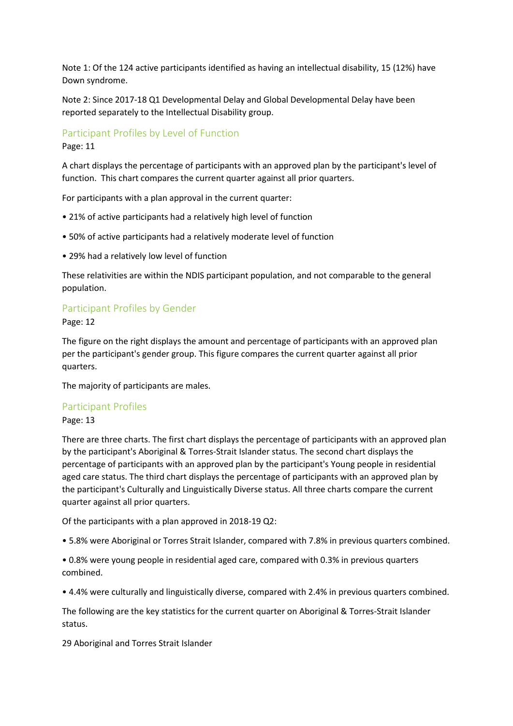Note 1: Of the 124 active participants identified as having an intellectual disability, 15 (12%) have Down syndrome.

Note 2: Since 2017-18 Q1 Developmental Delay and Global Developmental Delay have been reported separately to the Intellectual Disability group.

### Participant Profiles by Level of Function

Page: 11

A chart displays the percentage of participants with an approved plan by the participant's level of function. This chart compares the current quarter against all prior quarters.

For participants with a plan approval in the current quarter:

- 21% of active participants had a relatively high level of function
- 50% of active participants had a relatively moderate level of function
- 29% had a relatively low level of function

These relativities are within the NDIS participant population, and not comparable to the general population.

## Participant Profiles by Gender

Page: 12

The figure on the right displays the amount and percentage of participants with an approved plan per the participant's gender group. This figure compares the current quarter against all prior quarters.

The majority of participants are males.

### Participant Profiles

Page: 13

There are three charts. The first chart displays the percentage of participants with an approved plan by the participant's Aboriginal & Torres-Strait Islander status. The second chart displays the percentage of participants with an approved plan by the participant's Young people in residential aged care status. The third chart displays the percentage of participants with an approved plan by the participant's Culturally and Linguistically Diverse status. All three charts compare the current quarter against all prior quarters.

Of the participants with a plan approved in 2018-19 Q2:

• 5.8% were Aboriginal or Torres Strait Islander, compared with 7.8% in previous quarters combined.

• 0.8% were young people in residential aged care, compared with 0.3% in previous quarters combined.

• 4.4% were culturally and linguistically diverse, compared with 2.4% in previous quarters combined.

The following are the key statistics for the current quarter on Aboriginal & Torres-Strait Islander status.

29 Aboriginal and Torres Strait Islander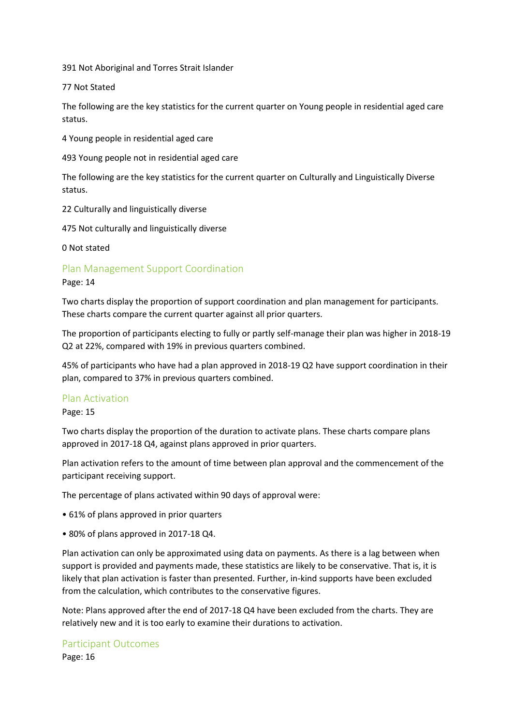391 Not Aboriginal and Torres Strait Islander

77 Not Stated

The following are the key statistics for the current quarter on Young people in residential aged care status.

4 Young people in residential aged care

493 Young people not in residential aged care

The following are the key statistics for the current quarter on Culturally and Linguistically Diverse status.

22 Culturally and linguistically diverse

475 Not culturally and linguistically diverse

0 Not stated

Plan Management Support Coordination

Page: 14

Two charts display the proportion of support coordination and plan management for participants. These charts compare the current quarter against all prior quarters.

The proportion of participants electing to fully or partly self-manage their plan was higher in 2018-19 Q2 at 22%, compared with 19% in previous quarters combined.

45% of participants who have had a plan approved in 2018-19 Q2 have support coordination in their plan, compared to 37% in previous quarters combined.

#### Plan Activation

Page: 15

Two charts display the proportion of the duration to activate plans. These charts compare plans approved in 2017-18 Q4, against plans approved in prior quarters.

Plan activation refers to the amount of time between plan approval and the commencement of the participant receiving support.

The percentage of plans activated within 90 days of approval were:

- 61% of plans approved in prior quarters
- 80% of plans approved in 2017-18 Q4.

Plan activation can only be approximated using data on payments. As there is a lag between when support is provided and payments made, these statistics are likely to be conservative. That is, it is likely that plan activation is faster than presented. Further, in-kind supports have been excluded from the calculation, which contributes to the conservative figures.

Note: Plans approved after the end of 2017-18 Q4 have been excluded from the charts. They are relatively new and it is too early to examine their durations to activation.

Participant Outcomes

Page: 16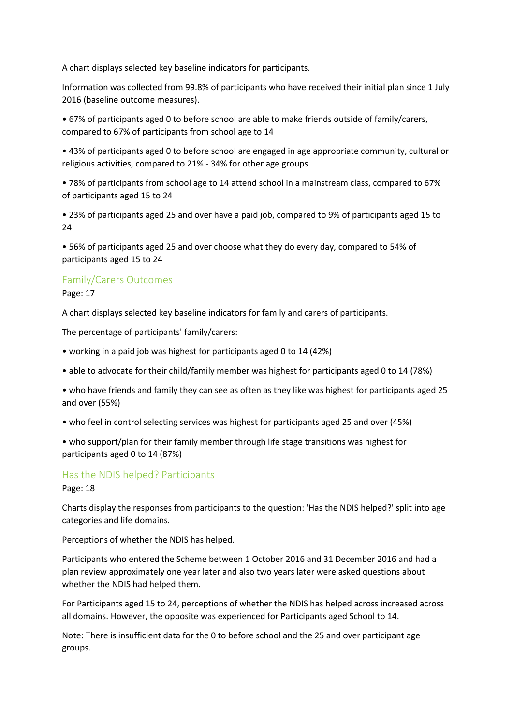A chart displays selected key baseline indicators for participants.

Information was collected from 99.8% of participants who have received their initial plan since 1 July 2016 (baseline outcome measures).

• 67% of participants aged 0 to before school are able to make friends outside of family/carers, compared to 67% of participants from school age to 14

• 43% of participants aged 0 to before school are engaged in age appropriate community, cultural or religious activities, compared to 21% - 34% for other age groups

• 78% of participants from school age to 14 attend school in a mainstream class, compared to 67% of participants aged 15 to 24

• 23% of participants aged 25 and over have a paid job, compared to 9% of participants aged 15 to 24

• 56% of participants aged 25 and over choose what they do every day, compared to 54% of participants aged 15 to 24

## Family/Carers Outcomes

Page: 17

A chart displays selected key baseline indicators for family and carers of participants.

The percentage of participants' family/carers:

- working in a paid job was highest for participants aged 0 to 14 (42%)
- able to advocate for their child/family member was highest for participants aged 0 to 14 (78%)

• who have friends and family they can see as often as they like was highest for participants aged 25 and over (55%)

• who feel in control selecting services was highest for participants aged 25 and over (45%)

• who support/plan for their family member through life stage transitions was highest for participants aged 0 to 14 (87%)

## Has the NDIS helped? Participants

Page: 18

Charts display the responses from participants to the question: 'Has the NDIS helped?' split into age categories and life domains.

Perceptions of whether the NDIS has helped.

Participants who entered the Scheme between 1 October 2016 and 31 December 2016 and had a plan review approximately one year later and also two years later were asked questions about whether the NDIS had helped them.

For Participants aged 15 to 24, perceptions of whether the NDIS has helped across increased across all domains. However, the opposite was experienced for Participants aged School to 14.

Note: There is insufficient data for the 0 to before school and the 25 and over participant age groups.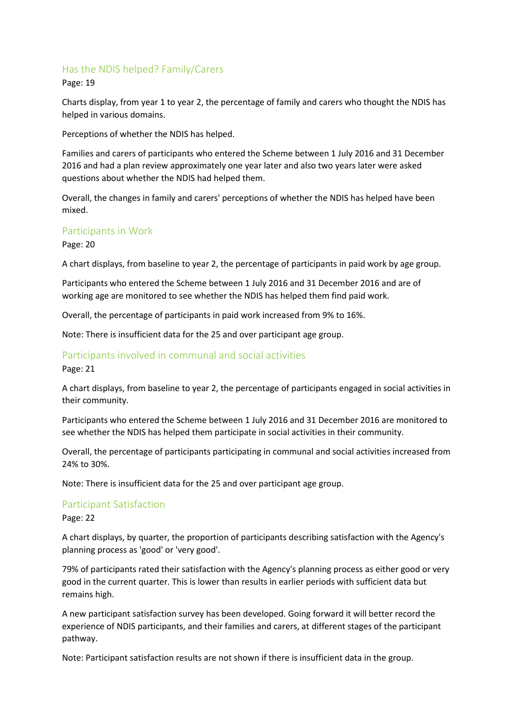## Has the NDIS helped? Family/Carers

### Page: 19

Charts display, from year 1 to year 2, the percentage of family and carers who thought the NDIS has helped in various domains.

Perceptions of whether the NDIS has helped.

Families and carers of participants who entered the Scheme between 1 July 2016 and 31 December 2016 and had a plan review approximately one year later and also two years later were asked questions about whether the NDIS had helped them.

Overall, the changes in family and carers' perceptions of whether the NDIS has helped have been mixed.

### Participants in Work

Page: 20

A chart displays, from baseline to year 2, the percentage of participants in paid work by age group.

Participants who entered the Scheme between 1 July 2016 and 31 December 2016 and are of working age are monitored to see whether the NDIS has helped them find paid work.

Overall, the percentage of participants in paid work increased from 9% to 16%.

Note: There is insufficient data for the 25 and over participant age group.

## Participants involved in communal and social activities

Page: 21

A chart displays, from baseline to year 2, the percentage of participants engaged in social activities in their community.

Participants who entered the Scheme between 1 July 2016 and 31 December 2016 are monitored to see whether the NDIS has helped them participate in social activities in their community.

Overall, the percentage of participants participating in communal and social activities increased from 24% to 30%.

Note: There is insufficient data for the 25 and over participant age group.

### Participant Satisfaction

Page: 22

A chart displays, by quarter, the proportion of participants describing satisfaction with the Agency's planning process as 'good' or 'very good'.

79% of participants rated their satisfaction with the Agency's planning process as either good or very good in the current quarter. This is lower than results in earlier periods with sufficient data but remains high.

A new participant satisfaction survey has been developed. Going forward it will better record the experience of NDIS participants, and their families and carers, at different stages of the participant pathway.

Note: Participant satisfaction results are not shown if there is insufficient data in the group.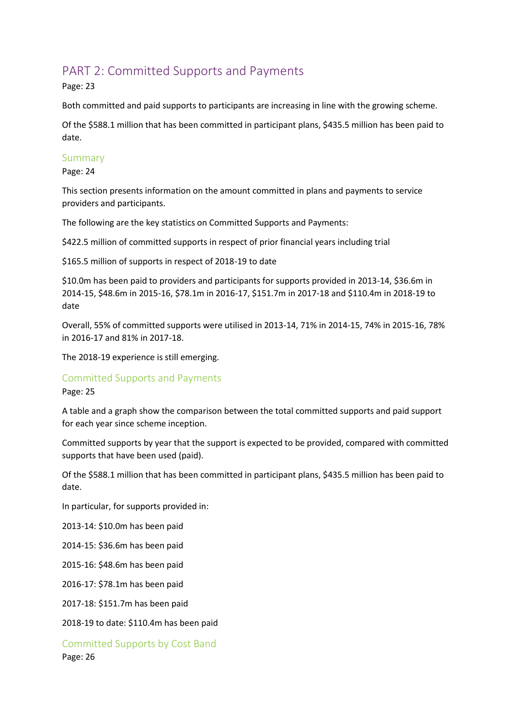## PART 2: Committed Supports and Payments

Page: 23

Both committed and paid supports to participants are increasing in line with the growing scheme.

Of the \$588.1 million that has been committed in participant plans, \$435.5 million has been paid to date.

## Summary

Page: 24

This section presents information on the amount committed in plans and payments to service providers and participants.

The following are the key statistics on Committed Supports and Payments:

\$422.5 million of committed supports in respect of prior financial years including trial

\$165.5 million of supports in respect of 2018-19 to date

\$10.0m has been paid to providers and participants for supports provided in 2013-14, \$36.6m in 2014-15, \$48.6m in 2015-16, \$78.1m in 2016-17, \$151.7m in 2017-18 and \$110.4m in 2018-19 to date

Overall, 55% of committed supports were utilised in 2013-14, 71% in 2014-15, 74% in 2015-16, 78% in 2016-17 and 81% in 2017-18.

The 2018-19 experience is still emerging.

### Committed Supports and Payments

Page: 25

A table and a graph show the comparison between the total committed supports and paid support for each year since scheme inception.

Committed supports by year that the support is expected to be provided, compared with committed supports that have been used (paid).

Of the \$588.1 million that has been committed in participant plans, \$435.5 million has been paid to date.

In particular, for supports provided in:

2013-14: \$10.0m has been paid

2014-15: \$36.6m has been paid

2015-16: \$48.6m has been paid

2016-17: \$78.1m has been paid

2017-18: \$151.7m has been paid

2018-19 to date: \$110.4m has been paid

Committed Supports by Cost Band Page: 26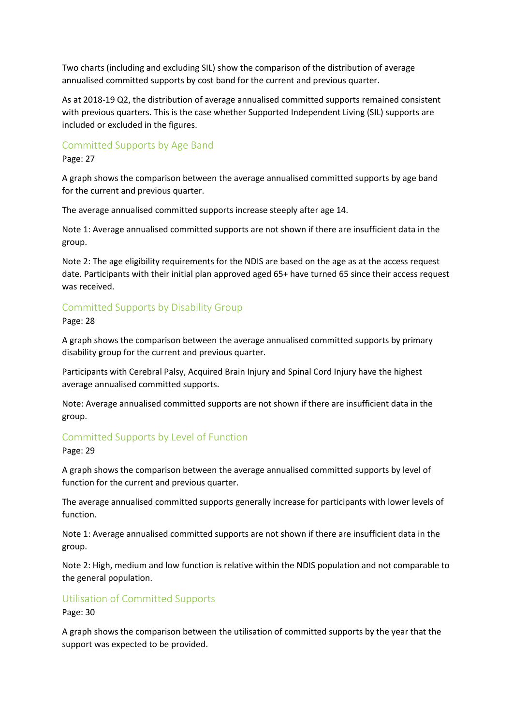Two charts (including and excluding SIL) show the comparison of the distribution of average annualised committed supports by cost band for the current and previous quarter.

As at 2018-19 Q2, the distribution of average annualised committed supports remained consistent with previous quarters. This is the case whether Supported Independent Living (SIL) supports are included or excluded in the figures.

## Committed Supports by Age Band

Page: 27

A graph shows the comparison between the average annualised committed supports by age band for the current and previous quarter.

The average annualised committed supports increase steeply after age 14.

Note 1: Average annualised committed supports are not shown if there are insufficient data in the group.

Note 2: The age eligibility requirements for the NDIS are based on the age as at the access request date. Participants with their initial plan approved aged 65+ have turned 65 since their access request was received.

## Committed Supports by Disability Group

Page: 28

A graph shows the comparison between the average annualised committed supports by primary disability group for the current and previous quarter.

Participants with Cerebral Palsy, Acquired Brain Injury and Spinal Cord Injury have the highest average annualised committed supports.

Note: Average annualised committed supports are not shown if there are insufficient data in the group.

### Committed Supports by Level of Function

Page: 29

A graph shows the comparison between the average annualised committed supports by level of function for the current and previous quarter.

The average annualised committed supports generally increase for participants with lower levels of function.

Note 1: Average annualised committed supports are not shown if there are insufficient data in the group.

Note 2: High, medium and low function is relative within the NDIS population and not comparable to the general population.

### Utilisation of Committed Supports

Page: 30

A graph shows the comparison between the utilisation of committed supports by the year that the support was expected to be provided.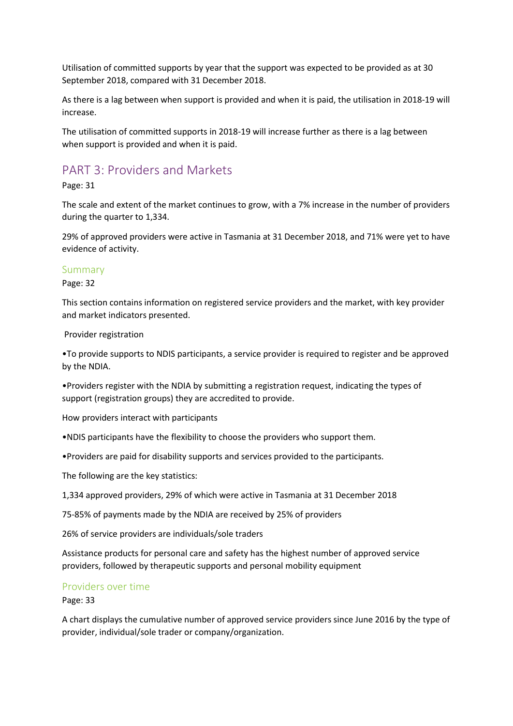Utilisation of committed supports by year that the support was expected to be provided as at 30 September 2018, compared with 31 December 2018.

As there is a lag between when support is provided and when it is paid, the utilisation in 2018-19 will increase.

The utilisation of committed supports in 2018-19 will increase further as there is a lag between when support is provided and when it is paid.

## PART 3: Providers and Markets

Page: 31

The scale and extent of the market continues to grow, with a 7% increase in the number of providers during the quarter to 1,334.

29% of approved providers were active in Tasmania at 31 December 2018, and 71% were yet to have evidence of activity.

### Summary

#### Page: 32

This section contains information on registered service providers and the market, with key provider and market indicators presented.

Provider registration

•To provide supports to NDIS participants, a service provider is required to register and be approved by the NDIA.

•Providers register with the NDIA by submitting a registration request, indicating the types of support (registration groups) they are accredited to provide.

How providers interact with participants

•NDIS participants have the flexibility to choose the providers who support them.

•Providers are paid for disability supports and services provided to the participants.

The following are the key statistics:

1,334 approved providers, 29% of which were active in Tasmania at 31 December 2018

75-85% of payments made by the NDIA are received by 25% of providers

26% of service providers are individuals/sole traders

Assistance products for personal care and safety has the highest number of approved service providers, followed by therapeutic supports and personal mobility equipment

#### Providers over time

Page: 33

A chart displays the cumulative number of approved service providers since June 2016 by the type of provider, individual/sole trader or company/organization.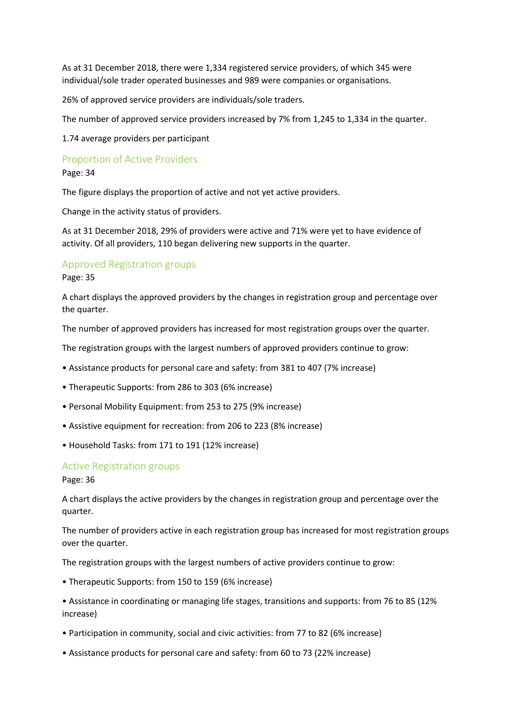As at 31 December 2018, there were 1,334 registered service providers, of which 345 were individual/sole trader operated businesses and 989 were companies or organisations.

26% of approved service providers are individuals/sole traders.

The number of approved service providers increased by 7% from 1,245 to 1,334 in the quarter.

1.74 average providers per participant

## Proportion of Active Providers

Page: 34

The figure displays the proportion of active and not yet active providers.

Change in the activity status of providers.

As at 31 December 2018, 29% of providers were active and 71% were yet to have evidence of activity. Of all providers, 110 began delivering new supports in the quarter.

### Approved Registration groups

Page: 35

A chart displays the approved providers by the changes in registration group and percentage over the quarter.

The number of approved providers has increased for most registration groups over the quarter.

The registration groups with the largest numbers of approved providers continue to grow:

- Assistance products for personal care and safety: from 381 to 407 (7% increase)
- Therapeutic Supports: from 286 to 303 (6% increase)
- Personal Mobility Equipment: from 253 to 275 (9% increase)
- Assistive equipment for recreation: from 206 to 223 (8% increase)
- Household Tasks: from 171 to 191 (12% increase)

#### Active Registration groups

Page: 36

A chart displays the active providers by the changes in registration group and percentage over the quarter.

The number of providers active in each registration group has increased for most registration groups over the quarter.

The registration groups with the largest numbers of active providers continue to grow:

• Therapeutic Supports: from 150 to 159 (6% increase)

• Assistance in coordinating or managing life stages, transitions and supports: from 76 to 85 (12% increase)

- Participation in community, social and civic activities: from 77 to 82 (6% increase)
- Assistance products for personal care and safety: from 60 to 73 (22% increase)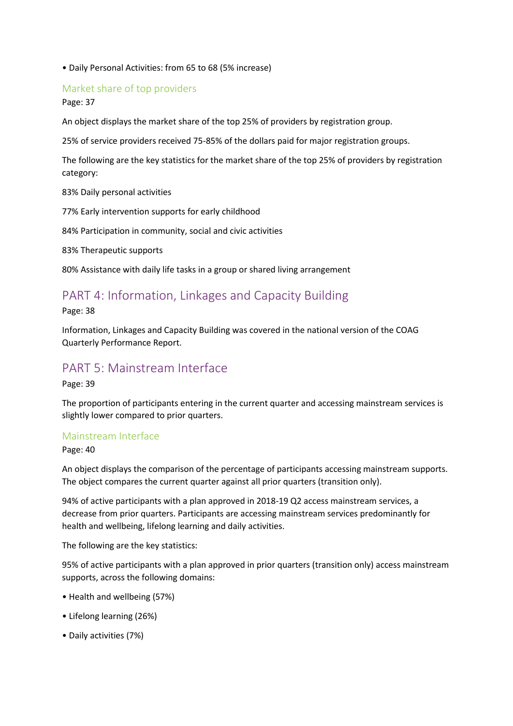• Daily Personal Activities: from 65 to 68 (5% increase)

## Market share of top providers

### Page: 37

An object displays the market share of the top 25% of providers by registration group.

25% of service providers received 75-85% of the dollars paid for major registration groups.

The following are the key statistics for the market share of the top 25% of providers by registration category:

83% Daily personal activities

77% Early intervention supports for early childhood

84% Participation in community, social and civic activities

83% Therapeutic supports

80% Assistance with daily life tasks in a group or shared living arrangement

## PART 4: Information, Linkages and Capacity Building

Page: 38

Information, Linkages and Capacity Building was covered in the national version of the COAG Quarterly Performance Report.

## PART 5: Mainstream Interface

Page: 39

The proportion of participants entering in the current quarter and accessing mainstream services is slightly lower compared to prior quarters.

### Mainstream Interface

Page: 40

An object displays the comparison of the percentage of participants accessing mainstream supports. The object compares the current quarter against all prior quarters (transition only).

94% of active participants with a plan approved in 2018-19 Q2 access mainstream services, a decrease from prior quarters. Participants are accessing mainstream services predominantly for health and wellbeing, lifelong learning and daily activities.

The following are the key statistics:

95% of active participants with a plan approved in prior quarters (transition only) access mainstream supports, across the following domains:

- Health and wellbeing (57%)
- Lifelong learning (26%)
- Daily activities (7%)